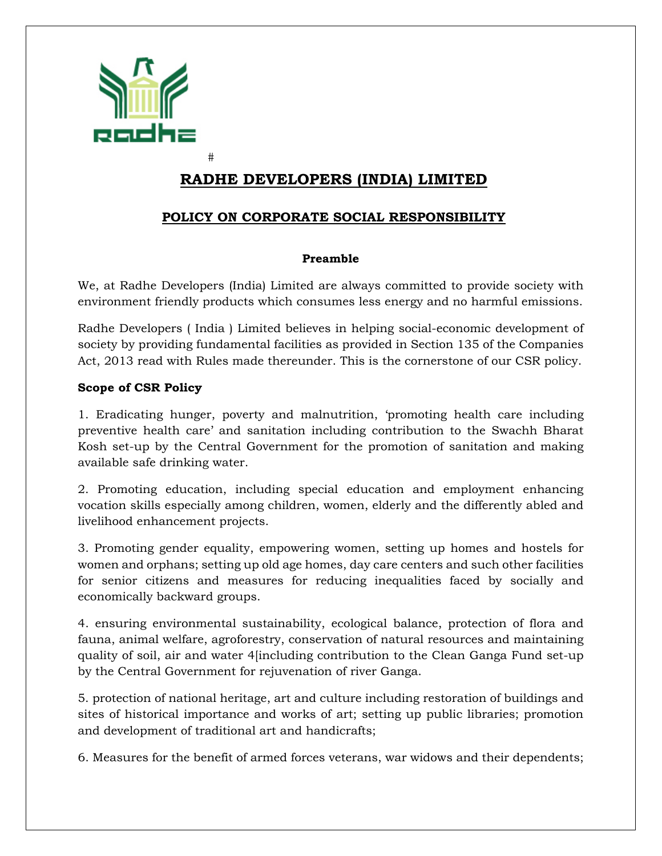

 $#$ 

# **RADHE DEVELOPERS (INDIA) LIMITED**

## **POLICY ON CORPORATE SOCIAL RESPONSIBILITY**

#### **Preamble**

We, at Radhe Developers (India) Limited are always committed to provide society with environment friendly products which consumes less energy and no harmful emissions.

Radhe Developers ( India ) Limited believes in helping social-economic development of society by providing fundamental facilities as provided in Section 135 of the Companies Act, 2013 read with Rules made thereunder. This is the cornerstone of our CSR policy.

#### **Scope of CSR Policy**

1. Eradicating hunger, poverty and malnutrition, 'promoting health care including preventive health care' and sanitation including contribution to the Swachh Bharat Kosh set-up by the Central Government for the promotion of sanitation and making available safe drinking water.

2. Promoting education, including special education and employment enhancing vocation skills especially among children, women, elderly and the differently abled and livelihood enhancement projects.

3. Promoting gender equality, empowering women, setting up homes and hostels for women and orphans; setting up old age homes, day care centers and such other facilities for senior citizens and measures for reducing inequalities faced by socially and economically backward groups.

4. ensuring environmental sustainability, ecological balance, protection of flora and fauna, animal welfare, agroforestry, conservation of natural resources and maintaining quality of soil, air and water 4[including contribution to the Clean Ganga Fund set-up by the Central Government for rejuvenation of river Ganga.

5. protection of national heritage, art and culture including restoration of buildings and sites of historical importance and works of art; setting up public libraries; promotion and development of traditional art and handicrafts;

6. Measures for the benefit of armed forces veterans, war widows and their dependents;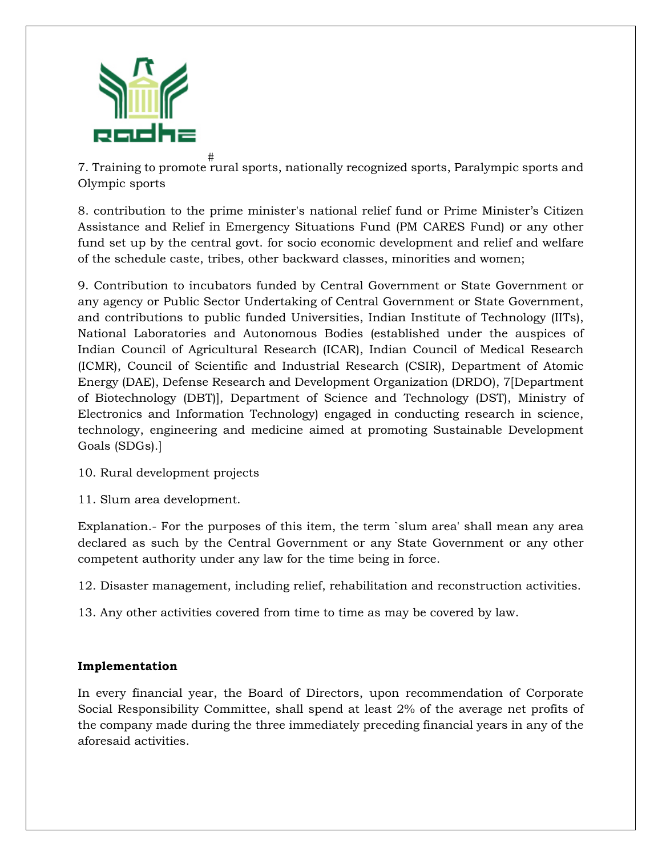

# 7. Training to promote rural sports, nationally recognized sports, Paralympic sports and Olympic sports

8. contribution to the prime minister's national relief fund or Prime Minister's Citizen Assistance and Relief in Emergency Situations Fund (PM CARES Fund) or any other fund set up by the central govt. for socio economic development and relief and welfare of the schedule caste, tribes, other backward classes, minorities and women;

9. Contribution to incubators funded by Central Government or State Government or any agency or Public Sector Undertaking of Central Government or State Government, and contributions to public funded Universities, Indian Institute of Technology (IITs), National Laboratories and Autonomous Bodies (established under the auspices of Indian Council of Agricultural Research (ICAR), Indian Council of Medical Research (ICMR), Council of Scientific and Industrial Research (CSIR), Department of Atomic Energy (DAE), Defense Research and Development Organization (DRDO), 7[Department of Biotechnology (DBT)], Department of Science and Technology (DST), Ministry of Electronics and Information Technology) engaged in conducting research in science, technology, engineering and medicine aimed at promoting Sustainable Development Goals (SDGs).]

- 10. Rural development projects
- 11. Slum area development.

Explanation.- For the purposes of this item, the term `slum area' shall mean any area declared as such by the Central Government or any State Government or any other competent authority under any law for the time being in force.

12. Disaster management, including relief, rehabilitation and reconstruction activities.

13. Any other activities covered from time to time as may be covered by law.

#### **Implementation**

In every financial year, the Board of Directors, upon recommendation of Corporate Social Responsibility Committee, shall spend at least 2% of the average net profits of the company made during the three immediately preceding financial years in any of the aforesaid activities.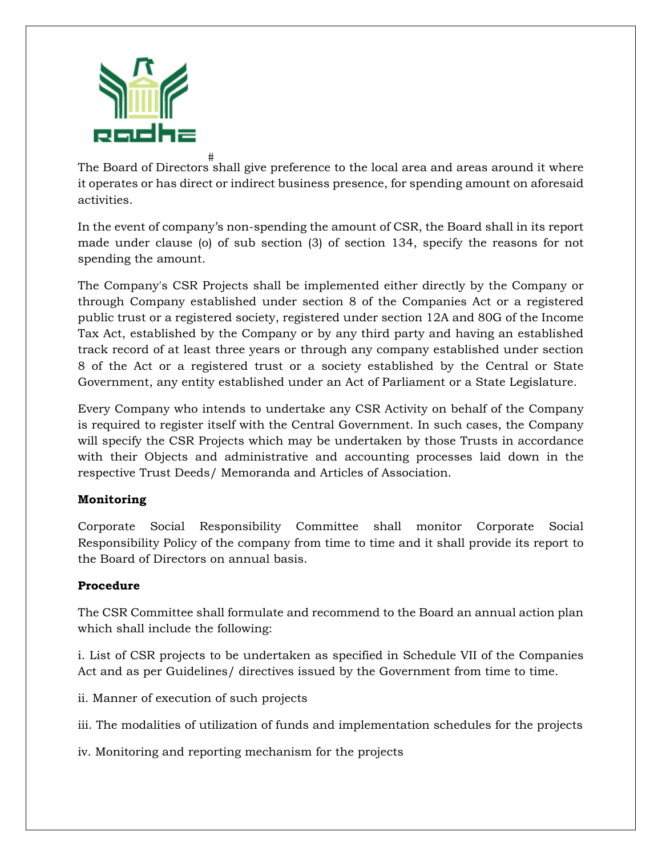

# The Board of Directors shall give preference to the local area and areas around it where it operates or has direct or indirect business presence, for spending amount on aforesaid activities.

In the event of company's non-spending the amount of CSR, the Board shall in its report made under clause (o) of sub section (3) of section 134, specify the reasons for not spending the amount.

The Company's CSR Projects shall be implemented either directly by the Company or through Company established under section 8 of the Companies Act or a registered public trust or a registered society, registered under section 12A and 80G of the Income Tax Act, established by the Company or by any third party and having an established track record of at least three years or through any company established under section 8 of the Act or a registered trust or a society established by the Central or State Government, any entity established under an Act of Parliament or a State Legislature.

Every Company who intends to undertake any CSR Activity on behalf of the Company is required to register itself with the Central Government. In such cases, the Company will specify the CSR Projects which may be undertaken by those Trusts in accordance with their Objects and administrative and accounting processes laid down in the respective Trust Deeds/ Memoranda and Articles of Association.

## **Monitoring**

Corporate Social Responsibility Committee shall monitor Corporate Social Responsibility Policy of the company from time to time and it shall provide its report to the Board of Directors on annual basis.

## **Procedure**

The CSR Committee shall formulate and recommend to the Board an annual action plan which shall include the following:

i. List of CSR projects to be undertaken as specified in Schedule VII of the Companies Act and as per Guidelines/ directives issued by the Government from time to time.

ii. Manner of execution of such projects

iii. The modalities of utilization of funds and implementation schedules for the projects

iv. Monitoring and reporting mechanism for the projects